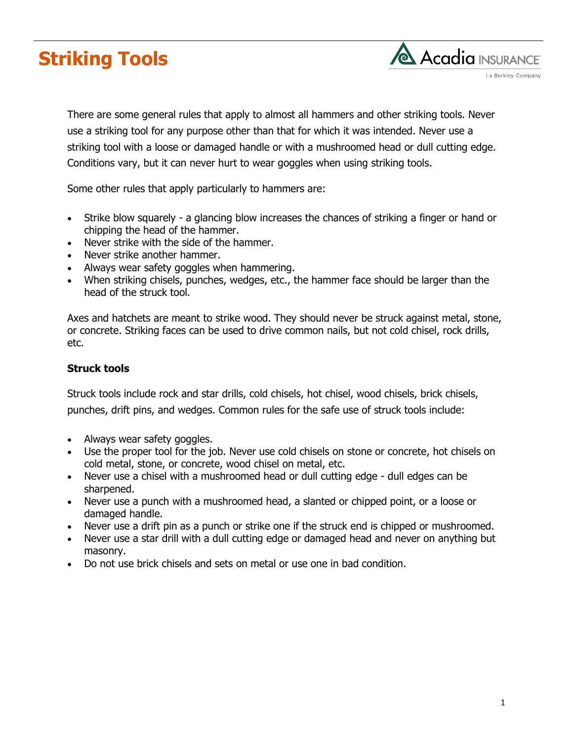



There are some general rules that apply to almost all hammers and other striking tools. Never use a striking tool for any purpose other than that for which it was intended. Never use a striking tool with a loose or damaged handle or with a mushroomed head or dull cutting edge. Conditions vary, but it can never hurt to wear goggles when using striking tools.

Some other rules that apply particularly to hammers are:

- Strike blow squarely a glancing blow increases the chances of striking a finger or hand or chipping the head of the hammer.
- Never strike with the side of the hammer.
- Never strike another hammer.
- Always wear safety goggles when hammering.
- When striking chisels, punches, wedges, etc., the hammer face should be larger than the head of the struck tool.

Axes and hatchets are meant to strike wood. They should never be struck against metal, stone, or concrete. Striking faces can be used to drive common nails, but not cold chisel, rock drills, etc.

## **Struck tools**

Struck tools include rock and star drills, cold chisels, hot chisel, wood chisels, brick chisels,

punches, drift pins, and wedges. Common rules for the safe use of struck tools include:

- Always wear safety goggles.
- Use the proper tool for the job. Never use cold chisels on stone or concrete, hot chisels on cold metal, stone, or concrete, wood chisel on metal, etc.
- Never use a chisel with a mushroomed head or dull cutting edge dull edges can be sharpened.
- Never use a punch with a mushroomed head, a slanted or chipped point, or a loose or damaged handle.
- Never use a drift pin as a punch or strike one if the struck end is chipped or mushroomed.
- Never use a star drill with a dull cutting edge or damaged head and never on anything but masonry.
- Do not use brick chisels and sets on metal or use one in bad condition.